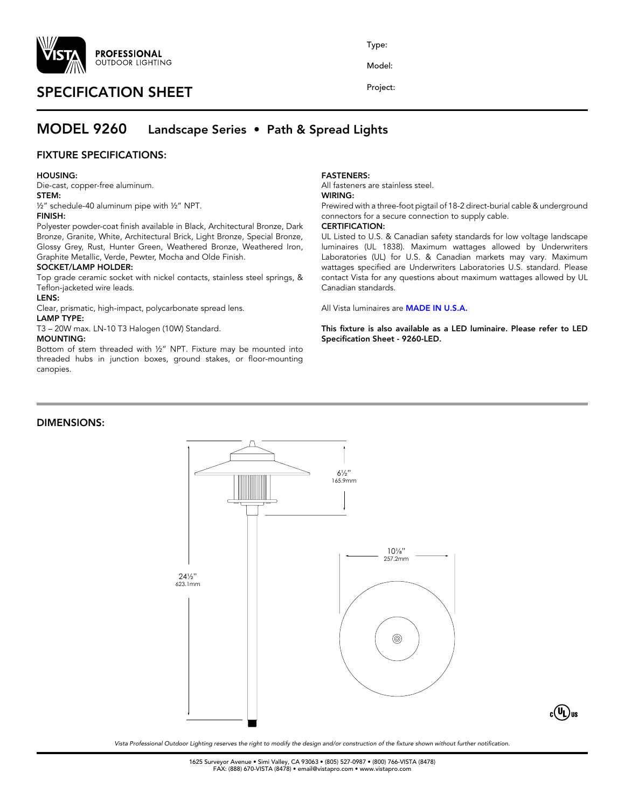

# SPECIFICATION SHEET

Type:

Model:

Project:

# MODEL 9260 Landscape Series • Path & Spread Lights

## FIXTURE SPECIFICATIONS:

#### HOUSING:

Die-cast, copper-free aluminum.

# STEM:

½" schedule-40 aluminum pipe with ½" NPT.

#### FINISH:

Polyester powder-coat finish available in Black, Architectural Bronze, Dark Bronze, Granite, White, Architectural Brick, Light Bronze, Special Bronze, Glossy Grey, Rust, Hunter Green, Weathered Bronze, Weathered Iron, Graphite Metallic, Verde, Pewter, Mocha and Olde Finish.

#### SOCKET/LAMP HOLDER:

Top grade ceramic socket with nickel contacts, stainless steel springs, & Teflon-jacketed wire leads.

#### LENS:

Clear, prismatic, high-impact, polycarbonate spread lens.

#### LAMP TYPE:

T3 – 20W max. LN-10 T3 Halogen (10W) Standard.

#### MOUNTING:

Bottom of stem threaded with ½" NPT. Fixture may be mounted into threaded hubs in junction boxes, ground stakes, or floor-mounting canopies.

### DIMENSIONS:

### FASTENERS:

All fasteners are stainless steel.

# WIRING:

Prewired with a three-foot pigtail of 18-2 direct-burial cable & underground connectors for a secure connection to supply cable.

## CERTIFICATION:

UL Listed to U.S. & Canadian safety standards for low voltage landscape luminaires (UL 1838). Maximum wattages allowed by Underwriters Laboratories (UL) for U.S. & Canadian markets may vary. Maximum wattages specified are Underwriters Laboratories U.S. standard. Please contact Vista for any questions about maximum wattages allowed by UL Canadian standards.

All Vista luminaires are MADE IN U.S.A.

This fixture is also available as a LED luminaire. Please refer to LED Specification Sheet - 9260-LED.

 $_{\rm c}({\bf U}_{\rm L})$ us



*Vista Professional Outdoor Lighting reserves the right to modify the design and/or construction of the fixture shown without further notification.*